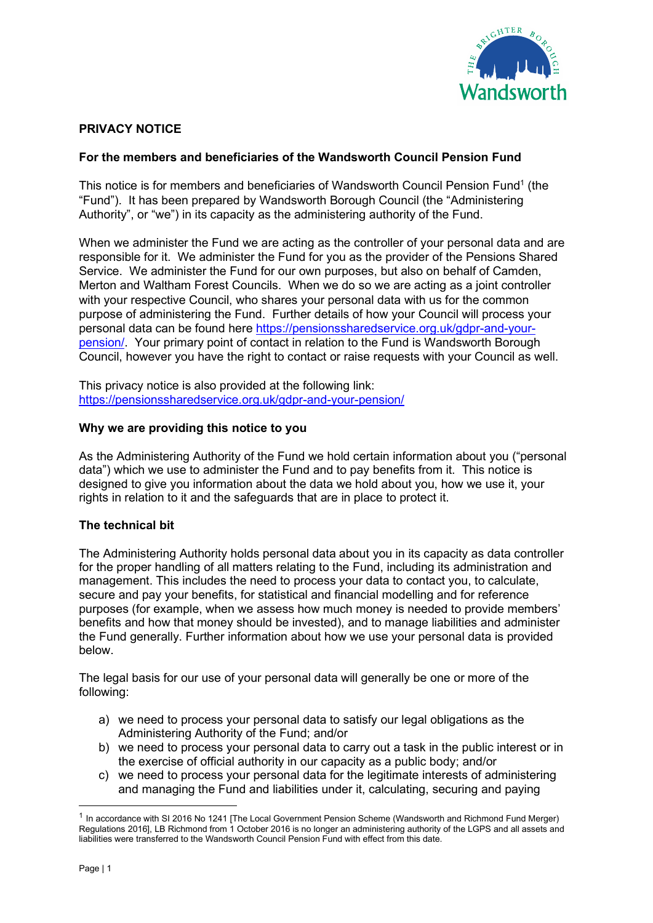

# PRIVACY NOTICE

# For the members and beneficiaries of the Wandsworth Council Pension Fund

This notice is for members and beneficiaries of Wandsworth Council Pension Fund<sup>1</sup> (the "Fund"). It has been prepared by Wandsworth Borough Council (the "Administering Authority", or "we") in its capacity as the administering authority of the Fund.

When we administer the Fund we are acting as the controller of your personal data and are responsible for it. We administer the Fund for you as the provider of the Pensions Shared Service. We administer the Fund for our own purposes, but also on behalf of Camden, Merton and Waltham Forest Councils. When we do so we are acting as a joint controller with your respective Council, who shares your personal data with us for the common purpose of administering the Fund. Further details of how your Council will process your personal data can be found here https://pensionssharedservice.org.uk/gdpr-and-yourpension/. Your primary point of contact in relation to the Fund is Wandsworth Borough Council, however you have the right to contact or raise requests with your Council as well.

This privacy notice is also provided at the following link: https://pensionssharedservice.org.uk/gdpr-and-your-pension/

### Why we are providing this notice to you

As the Administering Authority of the Fund we hold certain information about you ("personal data") which we use to administer the Fund and to pay benefits from it. This notice is designed to give you information about the data we hold about you, how we use it, your rights in relation to it and the safeguards that are in place to protect it.

# The technical bit

The Administering Authority holds personal data about you in its capacity as data controller for the proper handling of all matters relating to the Fund, including its administration and management. This includes the need to process your data to contact you, to calculate, secure and pay your benefits, for statistical and financial modelling and for reference purposes (for example, when we assess how much money is needed to provide members' benefits and how that money should be invested), and to manage liabilities and administer the Fund generally. Further information about how we use your personal data is provided below.

The legal basis for our use of your personal data will generally be one or more of the following:

- a) we need to process your personal data to satisfy our legal obligations as the Administering Authority of the Fund; and/or
- b) we need to process your personal data to carry out a task in the public interest or in the exercise of official authority in our capacity as a public body; and/or
- c) we need to process your personal data for the legitimate interests of administering and managing the Fund and liabilities under it, calculating, securing and paying

<sup>&</sup>lt;sup>1</sup> In accordance with SI 2016 No 1241 [The Local Government Pension Scheme (Wandsworth and Richmond Fund Merger) Regulations 2016], LB Richmond from 1 October 2016 is no longer an administering authority of the LGPS and all assets and liabilities were transferred to the Wandsworth Council Pension Fund with effect from this date.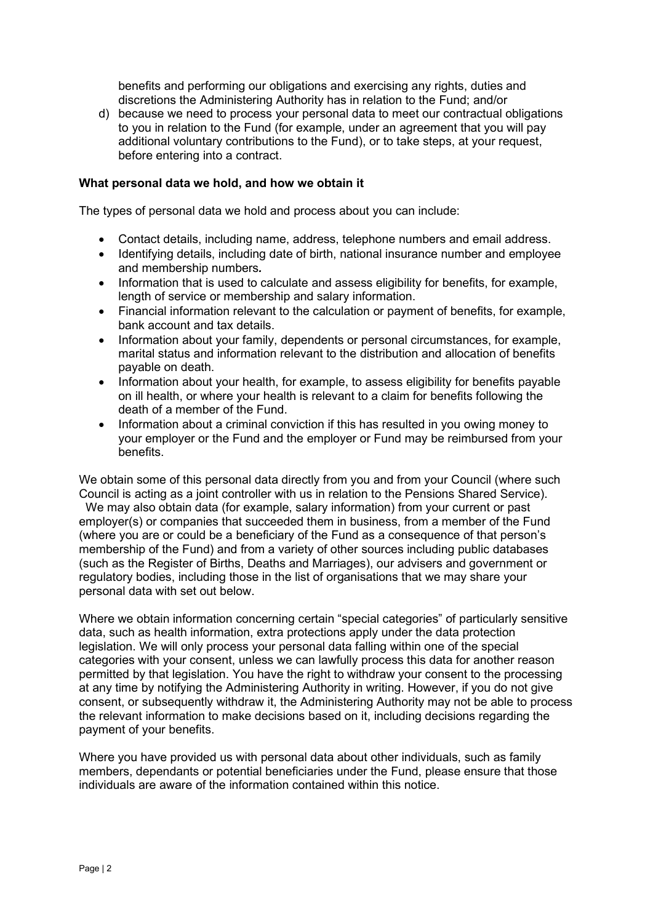benefits and performing our obligations and exercising any rights, duties and discretions the Administering Authority has in relation to the Fund; and/or

d) because we need to process your personal data to meet our contractual obligations to you in relation to the Fund (for example, under an agreement that you will pay additional voluntary contributions to the Fund), or to take steps, at your request, before entering into a contract.

#### What personal data we hold, and how we obtain it

The types of personal data we hold and process about you can include:

- Contact details, including name, address, telephone numbers and email address.
- Identifying details, including date of birth, national insurance number and employee and membership numbers.
- Information that is used to calculate and assess eligibility for benefits, for example, length of service or membership and salary information.
- Financial information relevant to the calculation or payment of benefits, for example, bank account and tax details.
- Information about your family, dependents or personal circumstances, for example, marital status and information relevant to the distribution and allocation of benefits payable on death.
- Information about your health, for example, to assess eligibility for benefits payable on ill health, or where your health is relevant to a claim for benefits following the death of a member of the Fund.
- Information about a criminal conviction if this has resulted in you owing money to your employer or the Fund and the employer or Fund may be reimbursed from your benefits.

We obtain some of this personal data directly from you and from your Council (where such Council is acting as a joint controller with us in relation to the Pensions Shared Service).

 We may also obtain data (for example, salary information) from your current or past employer(s) or companies that succeeded them in business, from a member of the Fund (where you are or could be a beneficiary of the Fund as a consequence of that person's membership of the Fund) and from a variety of other sources including public databases (such as the Register of Births, Deaths and Marriages), our advisers and government or regulatory bodies, including those in the list of organisations that we may share your personal data with set out below.

Where we obtain information concerning certain "special categories" of particularly sensitive data, such as health information, extra protections apply under the data protection legislation. We will only process your personal data falling within one of the special categories with your consent, unless we can lawfully process this data for another reason permitted by that legislation. You have the right to withdraw your consent to the processing at any time by notifying the Administering Authority in writing. However, if you do not give consent, or subsequently withdraw it, the Administering Authority may not be able to process the relevant information to make decisions based on it, including decisions regarding the payment of your benefits.

Where you have provided us with personal data about other individuals, such as family members, dependants or potential beneficiaries under the Fund, please ensure that those individuals are aware of the information contained within this notice.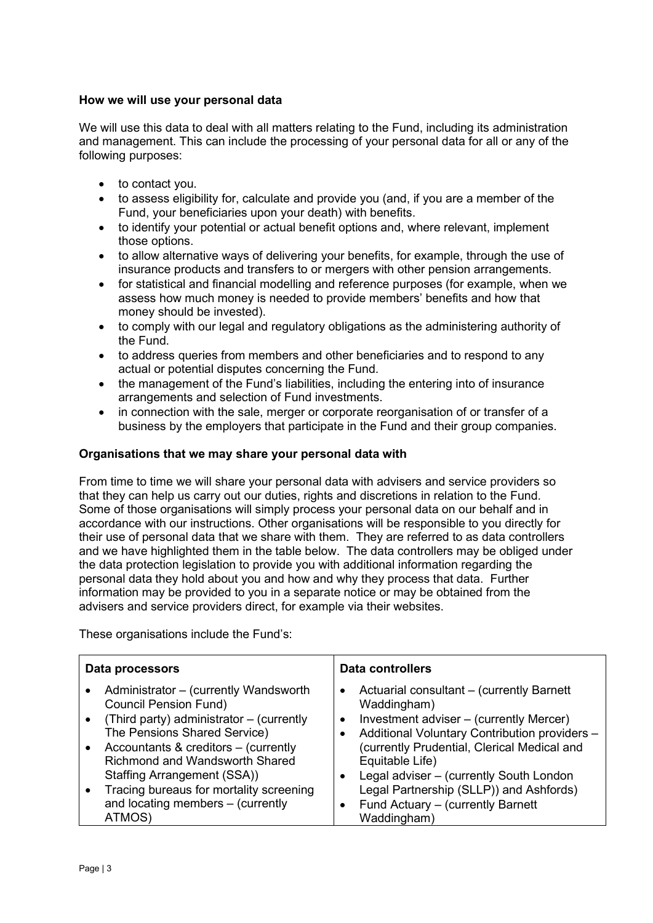# How we will use your personal data

We will use this data to deal with all matters relating to the Fund, including its administration and management. This can include the processing of your personal data for all or any of the following purposes:

- to contact you.
- to assess eligibility for, calculate and provide you (and, if you are a member of the Fund, your beneficiaries upon your death) with benefits.
- to identify your potential or actual benefit options and, where relevant, implement those options.
- to allow alternative ways of delivering your benefits, for example, through the use of insurance products and transfers to or mergers with other pension arrangements.
- for statistical and financial modelling and reference purposes (for example, when we assess how much money is needed to provide members' benefits and how that money should be invested).
- to comply with our legal and regulatory obligations as the administering authority of the Fund.
- to address queries from members and other beneficiaries and to respond to any actual or potential disputes concerning the Fund.
- the management of the Fund's liabilities, including the entering into of insurance arrangements and selection of Fund investments.
- in connection with the sale, merger or corporate reorganisation of or transfer of a business by the employers that participate in the Fund and their group companies.

### Organisations that we may share your personal data with

From time to time we will share your personal data with advisers and service providers so that they can help us carry out our duties, rights and discretions in relation to the Fund. Some of those organisations will simply process your personal data on our behalf and in accordance with our instructions. Other organisations will be responsible to you directly for their use of personal data that we share with them. They are referred to as data controllers and we have highlighted them in the table below. The data controllers may be obliged under the data protection legislation to provide you with additional information regarding the personal data they hold about you and how and why they process that data. Further information may be provided to you in a separate notice or may be obtained from the advisers and service providers direct, for example via their websites.

These organisations include the Fund's:

| Data processors                                                                                                                                                                                                                                                                                                                                             | <b>Data controllers</b>                                                                                                                                                                                                                                                                                                                                                                                                   |
|-------------------------------------------------------------------------------------------------------------------------------------------------------------------------------------------------------------------------------------------------------------------------------------------------------------------------------------------------------------|---------------------------------------------------------------------------------------------------------------------------------------------------------------------------------------------------------------------------------------------------------------------------------------------------------------------------------------------------------------------------------------------------------------------------|
| Administrator – (currently Wandsworth<br><b>Council Pension Fund)</b><br>(Third party) administrator - (currently<br>The Pensions Shared Service)<br>Accountants & creditors - (currently<br><b>Richmond and Wandsworth Shared</b><br>Staffing Arrangement (SSA))<br>Tracing bureaus for mortality screening<br>and locating members - (currently<br>ATMOS) | Actuarial consultant – (currently Barnett<br>$\bullet$<br>Waddingham)<br>Investment adviser – (currently Mercer)<br>$\bullet$<br>Additional Voluntary Contribution providers -<br>٠<br>(currently Prudential, Clerical Medical and<br>Equitable Life)<br>Legal adviser – (currently South London<br>$\bullet$<br>Legal Partnership (SLLP)) and Ashfords)<br>Fund Actuary - (currently Barnett<br>$\bullet$<br>Waddingham) |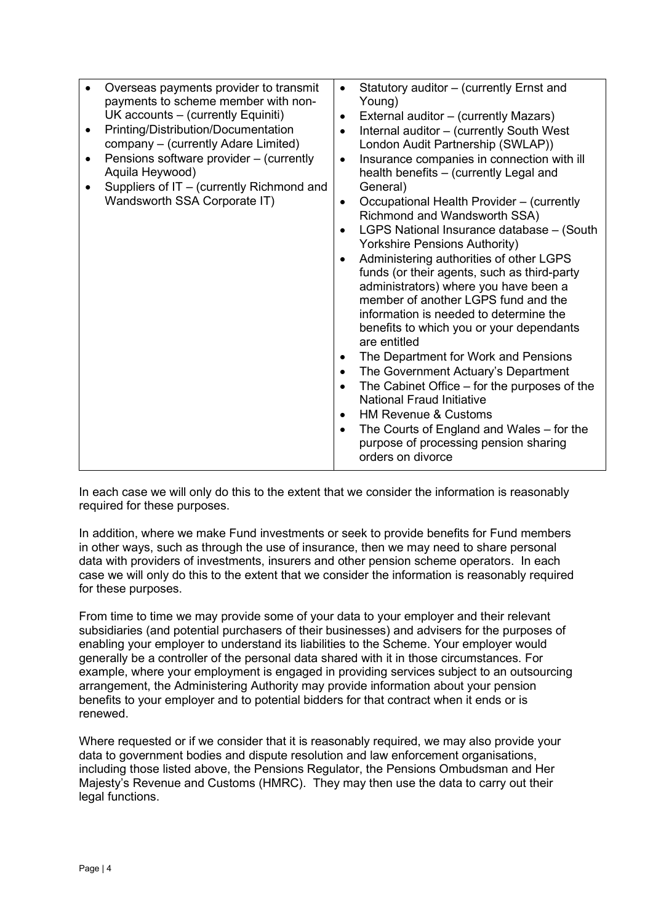| Overseas payments provider to transmit<br>payments to scheme member with non-<br>UK accounts – (currently Equiniti)<br>Printing/Distribution/Documentation<br>٠<br>company - (currently Adare Limited)<br>Pensions software provider - (currently<br>$\bullet$<br>Aquila Heywood)<br>Suppliers of IT - (currently Richmond and<br>Wandsworth SSA Corporate IT) | Statutory auditor - (currently Ernst and<br>$\bullet$<br>Young)<br>External auditor – (currently Mazars)<br>$\bullet$<br>Internal auditor - (currently South West<br>$\bullet$<br>London Audit Partnership (SWLAP))<br>Insurance companies in connection with ill<br>$\bullet$<br>health benefits - (currently Legal and<br>General)<br>Occupational Health Provider - (currently<br>$\bullet$<br>Richmond and Wandsworth SSA)<br>LGPS National Insurance database - (South<br>$\bullet$<br><b>Yorkshire Pensions Authority)</b><br>Administering authorities of other LGPS<br>$\bullet$<br>funds (or their agents, such as third-party<br>administrators) where you have been a<br>member of another LGPS fund and the<br>information is needed to determine the<br>benefits to which you or your dependants<br>are entitled<br>The Department for Work and Pensions<br>$\bullet$<br>The Government Actuary's Department<br>$\bullet$<br>The Cabinet Office - for the purposes of the<br>$\bullet$<br>National Fraud Initiative<br><b>HM Revenue &amp; Customs</b><br>$\bullet$<br>The Courts of England and Wales - for the<br>$\bullet$<br>purpose of processing pension sharing<br>orders on divorce |
|----------------------------------------------------------------------------------------------------------------------------------------------------------------------------------------------------------------------------------------------------------------------------------------------------------------------------------------------------------------|----------------------------------------------------------------------------------------------------------------------------------------------------------------------------------------------------------------------------------------------------------------------------------------------------------------------------------------------------------------------------------------------------------------------------------------------------------------------------------------------------------------------------------------------------------------------------------------------------------------------------------------------------------------------------------------------------------------------------------------------------------------------------------------------------------------------------------------------------------------------------------------------------------------------------------------------------------------------------------------------------------------------------------------------------------------------------------------------------------------------------------------------------------------------------------------------------------|
|----------------------------------------------------------------------------------------------------------------------------------------------------------------------------------------------------------------------------------------------------------------------------------------------------------------------------------------------------------------|----------------------------------------------------------------------------------------------------------------------------------------------------------------------------------------------------------------------------------------------------------------------------------------------------------------------------------------------------------------------------------------------------------------------------------------------------------------------------------------------------------------------------------------------------------------------------------------------------------------------------------------------------------------------------------------------------------------------------------------------------------------------------------------------------------------------------------------------------------------------------------------------------------------------------------------------------------------------------------------------------------------------------------------------------------------------------------------------------------------------------------------------------------------------------------------------------------|

In each case we will only do this to the extent that we consider the information is reasonably required for these purposes.

In addition, where we make Fund investments or seek to provide benefits for Fund members in other ways, such as through the use of insurance, then we may need to share personal data with providers of investments, insurers and other pension scheme operators. In each case we will only do this to the extent that we consider the information is reasonably required for these purposes.

From time to time we may provide some of your data to your employer and their relevant subsidiaries (and potential purchasers of their businesses) and advisers for the purposes of enabling your employer to understand its liabilities to the Scheme. Your employer would generally be a controller of the personal data shared with it in those circumstances. For example, where your employment is engaged in providing services subject to an outsourcing arrangement, the Administering Authority may provide information about your pension benefits to your employer and to potential bidders for that contract when it ends or is renewed.

Where requested or if we consider that it is reasonably required, we may also provide your data to government bodies and dispute resolution and law enforcement organisations, including those listed above, the Pensions Regulator, the Pensions Ombudsman and Her Majesty's Revenue and Customs (HMRC). They may then use the data to carry out their legal functions.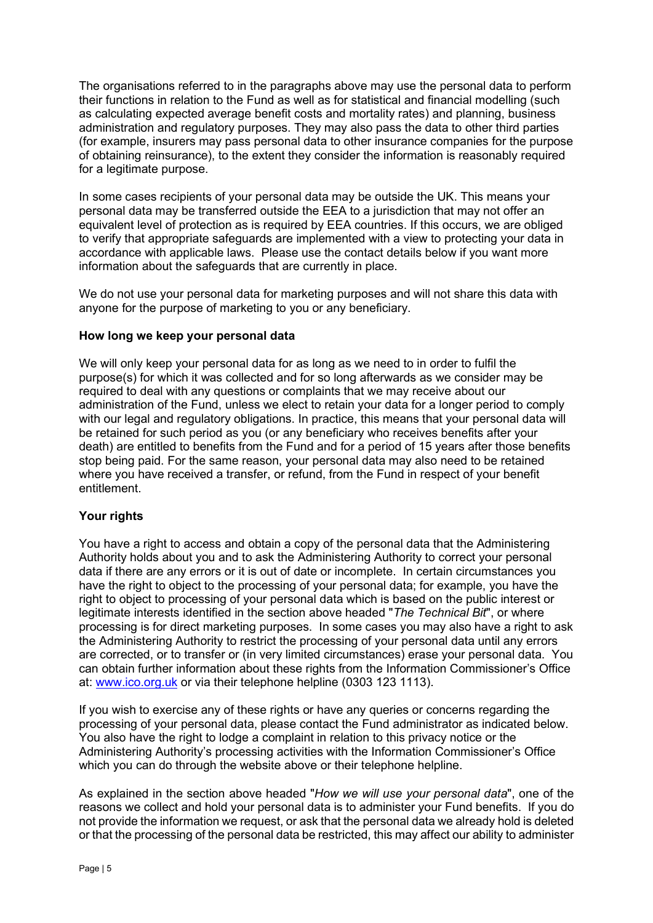The organisations referred to in the paragraphs above may use the personal data to perform their functions in relation to the Fund as well as for statistical and financial modelling (such as calculating expected average benefit costs and mortality rates) and planning, business administration and regulatory purposes. They may also pass the data to other third parties (for example, insurers may pass personal data to other insurance companies for the purpose of obtaining reinsurance), to the extent they consider the information is reasonably required for a legitimate purpose.

In some cases recipients of your personal data may be outside the UK. This means your personal data may be transferred outside the EEA to a jurisdiction that may not offer an equivalent level of protection as is required by EEA countries. If this occurs, we are obliged to verify that appropriate safeguards are implemented with a view to protecting your data in accordance with applicable laws. Please use the contact details below if you want more information about the safeguards that are currently in place.

We do not use your personal data for marketing purposes and will not share this data with anyone for the purpose of marketing to you or any beneficiary.

### How long we keep your personal data

We will only keep your personal data for as long as we need to in order to fulfil the purpose(s) for which it was collected and for so long afterwards as we consider may be required to deal with any questions or complaints that we may receive about our administration of the Fund, unless we elect to retain your data for a longer period to comply with our legal and regulatory obligations. In practice, this means that your personal data will be retained for such period as you (or any beneficiary who receives benefits after your death) are entitled to benefits from the Fund and for a period of 15 years after those benefits stop being paid. For the same reason, your personal data may also need to be retained where you have received a transfer, or refund, from the Fund in respect of your benefit entitlement.

# Your rights

You have a right to access and obtain a copy of the personal data that the Administering Authority holds about you and to ask the Administering Authority to correct your personal data if there are any errors or it is out of date or incomplete. In certain circumstances you have the right to object to the processing of your personal data; for example, you have the right to object to processing of your personal data which is based on the public interest or legitimate interests identified in the section above headed "The Technical Bit", or where processing is for direct marketing purposes. In some cases you may also have a right to ask the Administering Authority to restrict the processing of your personal data until any errors are corrected, or to transfer or (in very limited circumstances) erase your personal data. You can obtain further information about these rights from the Information Commissioner's Office at: www.ico.org.uk or via their telephone helpline (0303 123 1113).

If you wish to exercise any of these rights or have any queries or concerns regarding the processing of your personal data, please contact the Fund administrator as indicated below. You also have the right to lodge a complaint in relation to this privacy notice or the Administering Authority's processing activities with the Information Commissioner's Office which you can do through the website above or their telephone helpline.

As explained in the section above headed "How we will use your personal data", one of the reasons we collect and hold your personal data is to administer your Fund benefits. If you do not provide the information we request, or ask that the personal data we already hold is deleted or that the processing of the personal data be restricted, this may affect our ability to administer